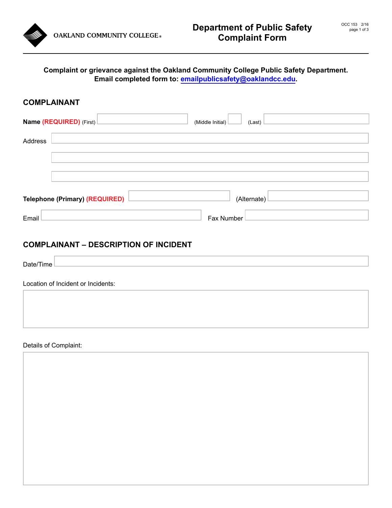

## **COMPLAINANT**

|                                                      | Name (REQUIRED) (First)<br>(Middle Initial) $\Box$<br>(Last) |  |  |
|------------------------------------------------------|--------------------------------------------------------------|--|--|
| Address                                              |                                                              |  |  |
|                                                      |                                                              |  |  |
| <b>Telephone (Primary) (REQUIRED)</b><br>(Alternate) |                                                              |  |  |
| Email                                                | Fax Number                                                   |  |  |

## **COMPLAINANT – DESCRIPTION OF INCIDENT**

| Date/<br>$\sim$<br>Time |  |
|-------------------------|--|

Location of Incident or Incidents:

Details of Complaint: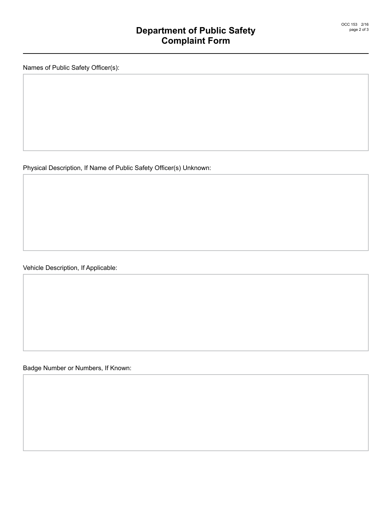Names of Public Safety Officer(s):

Physical Description, If Name of Public Safety Officer(s) Unknown:

Vehicle Description, If Applicable:

Badge Number or Numbers, If Known: